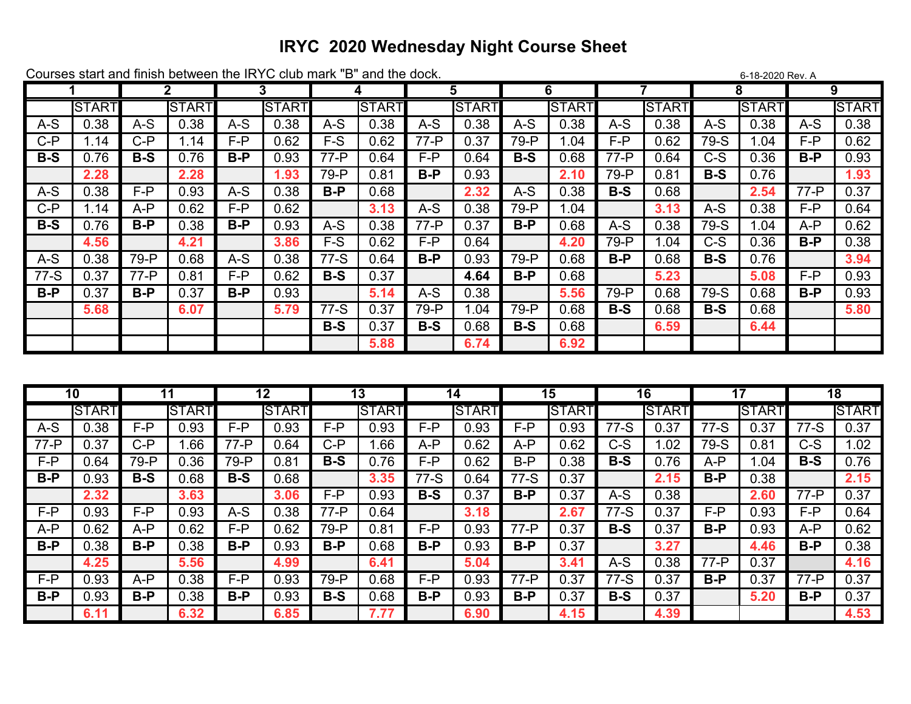## **IRYC 2020 Wednesday Night Course Sheet**

|        | Courses start and million between the invite club main<br>◡<br>ally the your.<br>0-10-2020 Rev. A |          |       |         |              |        |              |        |              |       |              |        |              |       |              |        |              |
|--------|---------------------------------------------------------------------------------------------------|----------|-------|---------|--------------|--------|--------------|--------|--------------|-------|--------------|--------|--------------|-------|--------------|--------|--------------|
|        |                                                                                                   | 2        |       | 3       |              | 4      |              | 5      |              | 6     |              |        |              | 8     |              | 9      |              |
|        | <b>START</b>                                                                                      |          | START |         | <b>START</b> |        | <b>START</b> |        | <b>START</b> |       | <b>START</b> |        | <b>START</b> |       | <b>START</b> |        | <b>START</b> |
| $A-S$  | 0.38                                                                                              | $A-S$    | 0.38  | $A-S$   | 0.38         | $A-S$  | 0.38         | $A-S$  | 0.38         | $A-S$ | 0.38         | $A-S$  | 0.38         | $A-S$ | 0.38         | A-S    | 0.38         |
| $C-P$  | 1.14                                                                                              | C-P      | 1.14  | F-P     | 0.62         | F-S    | 0.62         | $77-P$ | 0.37         | 79-P  | 1.04         | F-P    | 0.62         | 79-S  | .04          | F-P    | 0.62         |
| $B-S$  | 0.76                                                                                              | $B-S$    | 0.76  | $B-P$   | 0.93         | $77-P$ | 0.64         | F-P    | 0.64         | $B-S$ | 0.68         | $77-P$ | 0.64         | $C-S$ | 0.36         | B-P    | 0.93         |
|        | 2.28                                                                                              |          | 2.28  |         | 1.93         | 79-P   | 0.81         | $B-P$  | 0.93         |       | 2.10         | 79-P   | 0.81         | $B-S$ | 0.76         |        | 1.93         |
| $A-S$  | 0.38                                                                                              | F-P      | 0.93  | $A-S$   | 0.38         | $B-P$  | 0.68         |        | 2.32         | $A-S$ | 0.38         | $B-S$  | 0.68         |       | 2.54         | $77-P$ | 0.37         |
| C-P    | .14                                                                                               | A-P      | 0.62  | $F - P$ | 0.62         |        | 3.13         | $A-S$  | 0.38         | 79-P  | 1.04         |        | 3.13         | $A-S$ | 0.38         | F-P    | 0.64         |
| $B-S$  | 0.76                                                                                              | B-P      | 0.38  | $B-P$   | 0.93         | $A-S$  | 0.38         | $77-P$ | 0.37         | $B-P$ | 0.68         | $A-S$  | 0.38         | 79-S  | .04          | A-P    | 0.62         |
|        | 4.56                                                                                              |          | 4.21  |         | 3.86         | F-S    | 0.62         | F-P    | 0.64         |       | 4.20         | 79-P   | 1.04         | $C-S$ | 0.36         | B-P    | 0.38         |
| $A-S$  | 0.38                                                                                              | 79-P     | 0.68  | $A-S$   | 0.38         | $77-S$ | 0.64         | $B-P$  | 0.93         | 79-P  | 0.68         | $B-P$  | 0.68         | $B-S$ | 0.76         |        | 3.94         |
| $77-S$ | 0.37                                                                                              | $77 - P$ | 0.81  | F-P     | 0.62         | $B-S$  | 0.37         |        | 4.64         | $B-P$ | 0.68         |        | 5.23         |       | 5.08         | F-P    | 0.93         |
| B-P    | 0.37                                                                                              | $B-P$    | 0.37  | $B-P$   | 0.93         |        | 5.14         | $A-S$  | 0.38         |       | 5.56         | 79-P   | 0.68         | 79-S  | 0.68         | $B-P$  | 0.93         |
|        | 5.68                                                                                              |          | 6.07  |         | 5.79         | $77-S$ | 0.37         | 79-P   | .04          | 79-P  | 0.68         | $B-S$  | 0.68         | $B-S$ | 0.68         |        | 5.80         |
|        |                                                                                                   |          |       |         |              | $B-S$  | 0.37         | $B-S$  | 0.68         | $B-S$ | 0.68         |        | 6.59         |       | 6.44         |        |              |
|        |                                                                                                   |          |       |         |              |        | 5.88         |        | 6.74         |       | 6.92         |        |              |       |              |        |              |

| 10     |              | 11    |              | 12       |              | 13      |              | 14    |              | 15    |              | 16     |              | 17       |              | 18     |              |
|--------|--------------|-------|--------------|----------|--------------|---------|--------------|-------|--------------|-------|--------------|--------|--------------|----------|--------------|--------|--------------|
|        | <b>START</b> |       | <b>START</b> |          | <b>START</b> |         | <b>START</b> |       | <b>START</b> |       | <b>START</b> |        | <b>START</b> |          | <b>START</b> |        | <b>START</b> |
| $A-S$  | .38          | F-P   | 0.93         | F-P      | 0.93         | $F - P$ | 0.93         | F-P   | .93          | F-P   | ).93         | 77-S   | 0.37         | 77-S     | .37          | $7-S$  | 0.37         |
| $77-P$ | 0.37         | C-P   | .66          | $77 - P$ | 0.64         | C-P     | .66          | $A-P$ | 0.62         | A-P   | 0.62         | $C-S$  | .02          | 79-S     | 0.81         | C-S    | .02          |
| F-P    | 0.64         | 79-P  | 0.36         | 79-P     | 0.81         | $B-S$   | 0.76         | F-P   | 0.62         | B-P   | 0.38         | $B-S$  | 0.76         | A-P      | .04          | $B-S$  | 0.76         |
| $B-P$  | 0.93         | $B-S$ | 0.68         | $B-S$    | 0.68         |         | 3.35         | $7-S$ | 0.64         | 77-S  | 0.37         |        | 2.15         | $B-P$    | 0.38         |        | 2.15         |
|        | 2.32         |       | 3.63         |          | 3.06         | F-P     | 0.93         | $B-S$ | 0.37         | $B-P$ | .37          | $A-S$  | 0.38         |          | 2.60         | $77-P$ | 0.37         |
| F-P    | 0.93         | F-P   | 0.93         | A-S      | 0.38         | $77-P$  | 0.64         |       | 3.18         |       | 2.67         | $77-S$ | 0.37         | F-P      | 0.93         | F-P    | 0.64         |
| A-P    | 0.62         | A-P   | 0.62         | F-P      | 0.62         | 79-P    | 0.81         | F-P   | 0.93         | 77-P  | 0.37         | $B-S$  | 0.37         | $B-P$    | 0.93         | A-P    | 0.62         |
| B-P    | 0.38         | B-P   | 0.38         | $B-P$    | 0.93         | $B-P$   | 0.68         | $B-P$ | 0.93         | $B-P$ | 0.37         |        | 3.27         |          | 4.46         | B-P    | 0.38         |
|        | 4.25         |       | 5.56         |          | 4.99         |         | 6.41         |       | 5.04         |       | 3.41         | $A-S$  | 0.38         | $77 - P$ | 0.37         |        | 4.16         |
| F-P    | 0.93         | A-P   | 0.38         | F-P      | 0.93         | 79-P    | 0.68         | F-P   | 0.93         | 77-P  | 0.37         | $77-S$ | 0.37         | $B-P$    | 0.37         | 77-P   | 0.37         |
| B-P    | ).93         | B-P   | 0.38         | $B-P$    | 0.93         | $B-S$   | 0.68         | $B-P$ | 0.93         | $B-P$ | 37.ر         | $B-S$  | 0.37         |          | 5.20         | B-P    | 0.37         |
|        | 6.1          |       | 6.32         |          | 6.85         |         | 7.77         |       | 6.90         |       | 4.15         |        | 4.39         |          |              |        | 4.53         |

Courses start and finish between the IRYC club mark "B" and the dock.  $6.18-2020R$